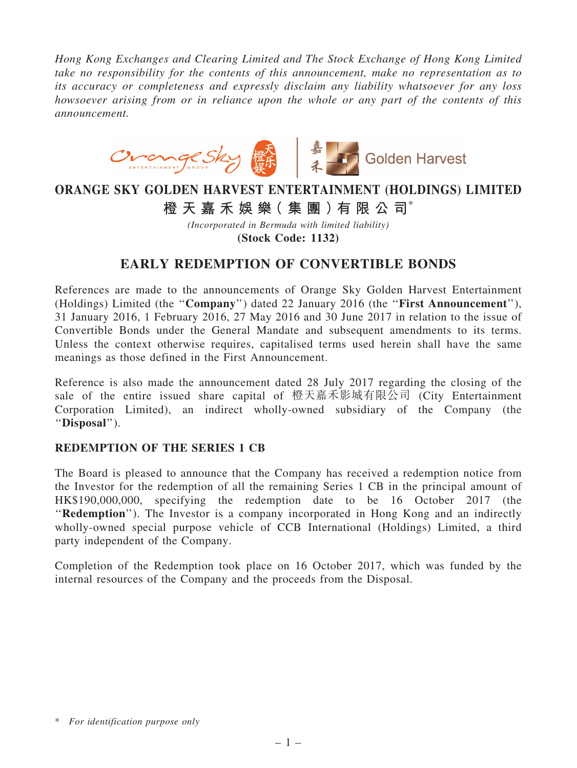*Hong Kong Exchanges and Clearing Limited and The Stock Exchange of Hong Kong Limited take no responsibility for the contents of this announcement, make no representation as to its accuracy or completeness and expressly disclaim any liability whatsoever for any loss howsoever arising from or in reliance upon the whole or any part of the contents of this announcement.*



## ORANGE SKY GOLDEN HARVEST ENTERTAINMENT (HOLDINGS) LIMITED

橙 天 嘉 禾 娛 樂 (集 團 ) 有 限 公 司 $^*$ 

*(Incorporated in Bermuda with limited liability)* (Stock Code: 1132)

## EARLY REDEMPTION OF CONVERTIBLE BONDS

References are made to the announcements of Orange Sky Golden Harvest Entertainment (Holdings) Limited (the ''Company'') dated 22 January 2016 (the ''First Announcement''), 31 January 2016, 1 February 2016, 27 May 2016 and 30 June 2017 in relation to the issue of Convertible Bonds under the General Mandate and subsequent amendments to its terms. Unless the context otherwise requires, capitalised terms used herein shall have the same meanings as those defined in the First Announcement.

Reference is also made the announcement dated 28 July 2017 regarding the closing of the sale of the entire issued share capital of 橙天嘉禾影城有限公司 (City Entertainment Corporation Limited), an indirect wholly-owned subsidiary of the Company (the ''Disposal'').

## REDEMPTION OF THE SERIES 1 CB

The Board is pleased to announce that the Company has received a redemption notice from the Investor for the redemption of all the remaining Series 1 CB in the principal amount of HK\$190,000,000, specifying the redemption date to be 16 October 2017 (the "Redemption"). The Investor is a company incorporated in Hong Kong and an indirectly wholly-owned special purpose vehicle of CCB International (Holdings) Limited, a third party independent of the Company.

Completion of the Redemption took place on 16 October 2017, which was funded by the internal resources of the Company and the proceeds from the Disposal.

<sup>\*</sup> *For identification purpose only*